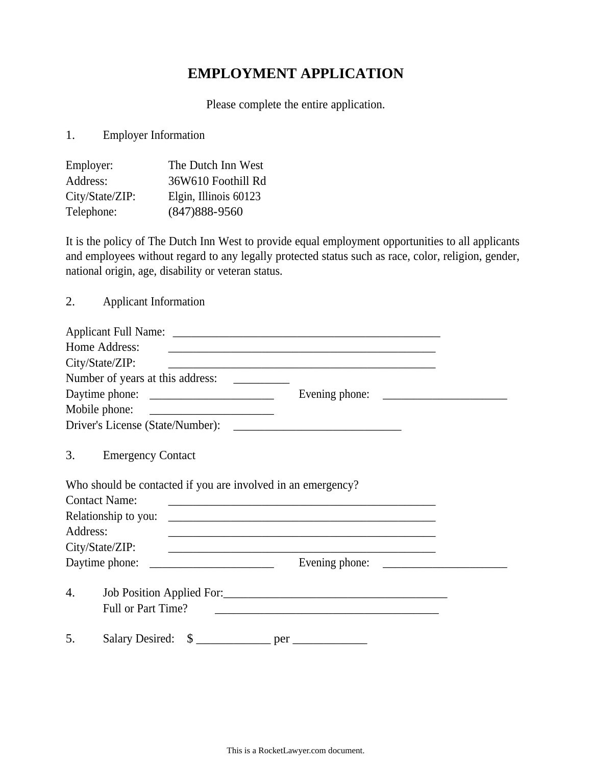## **EMPLOYMENT APPLICATION**

Please complete the entire application.

1. Employer Information

| Employer:       | The Dutch Inn West    |
|-----------------|-----------------------|
| Address:        | 36W610 Foothill Rd    |
| City/State/ZIP: | Elgin, Illinois 60123 |
| Telephone:      | $(847)888 - 9560$     |

It is the policy of The Dutch Inn West to provide equal employment opportunities to all applicants and employees without regard to any legally protected status such as race, color, religion, gender, national origin, age, disability or veteran status.

2. Applicant Information

| Home Address:        |                                                              | <u> 2000 - Jan James James Jan James James James James James James James James James James James James James Jam</u> |  |
|----------------------|--------------------------------------------------------------|----------------------------------------------------------------------------------------------------------------------|--|
| City/State/ZIP:      |                                                              | <u> 1989 - Johann Stoff, amerikansk politiker (d. 1989)</u>                                                          |  |
|                      |                                                              |                                                                                                                      |  |
|                      |                                                              |                                                                                                                      |  |
|                      |                                                              |                                                                                                                      |  |
|                      |                                                              |                                                                                                                      |  |
| 3.                   | <b>Emergency Contact</b>                                     |                                                                                                                      |  |
|                      | Who should be contacted if you are involved in an emergency? |                                                                                                                      |  |
| <b>Contact Name:</b> |                                                              | <u> 1989 - Johann John Stein, marwolaethau (b. 1989)</u>                                                             |  |
|                      | Relationship to you:                                         |                                                                                                                      |  |
| Address:             |                                                              |                                                                                                                      |  |
|                      | City/State/ZIP:                                              |                                                                                                                      |  |
|                      |                                                              | Evening phone:                                                                                                       |  |
| 4.                   | Job Position Applied For:<br>Full or Part Time?              | <u> 1989 - Andrea Station, amerikansk politiker (d. 1989)</u>                                                        |  |
| 5.                   |                                                              |                                                                                                                      |  |

This is a RocketLawyer.com document.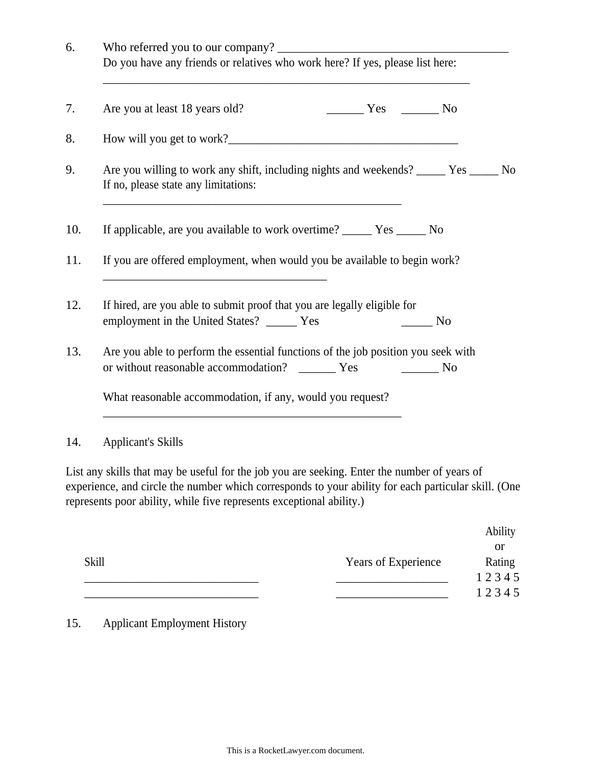| Do you have any friends or relatives who work here? If yes, please list here:                                                            |
|------------------------------------------------------------------------------------------------------------------------------------------|
| Are you at least 18 years old?<br>$Yes$ No                                                                                               |
|                                                                                                                                          |
| Are you willing to work any shift, including nights and weekends? ______ Yes _____ No<br>If no, please state any limitations:            |
| If applicable, are you available to work overtime? ________ Yes _______ No                                                               |
| If you are offered employment, when would you be available to begin work?                                                                |
| If hired, are you able to submit proof that you are legally eligible for<br>employment in the United States? _____ Yes<br>N <sub>0</sub> |
| Are you able to perform the essential functions of the job position you seek with                                                        |
| What reasonable accommodation, if any, would you request?                                                                                |

List any skills that may be useful for the job you are seeking. Enter the number of years of experience, and circle the number which corresponds to your ability for each particular skill. (One represents poor ability, while five represents exceptional ability.)

|              |                            | Ability |
|--------------|----------------------------|---------|
|              |                            | or      |
| <b>Skill</b> | <b>Years of Experience</b> | Rating  |
|              |                            | 12345   |
|              |                            | 12345   |

15. Applicant Employment History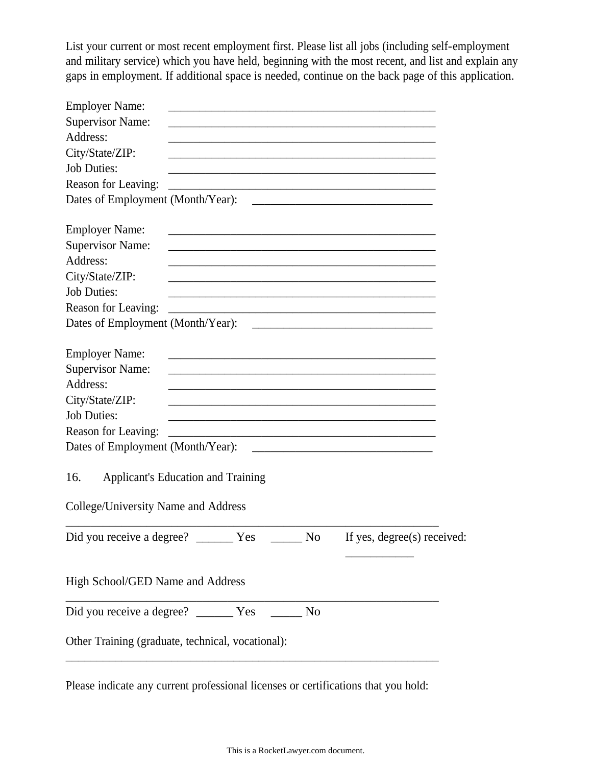List your current or most recent employment first. Please list all jobs (including self-employment and military service) which you have held, beginning with the most recent, and list and explain any gaps in employment. If additional space is needed, continue on the back page of this application.

| <b>Employer Name:</b>                      |                                                                                                                      |                             |
|--------------------------------------------|----------------------------------------------------------------------------------------------------------------------|-----------------------------|
| <b>Supervisor Name:</b>                    |                                                                                                                      |                             |
| Address:                                   | <u> 1989 - Johann Stein, mars an deutscher Stein und der Stein und der Stein und der Stein und der Stein und der</u> |                             |
| City/State/ZIP:                            |                                                                                                                      |                             |
| <b>Job Duties:</b>                         | <u> 1980 - Jan James James James James James James James James James James James James James James James James J</u> |                             |
| Reason for Leaving:                        | <u> 2008 - Johann Barn, amerikan bernama di sebagai pertama di sebagai pertama di sebagai pertama di sebagai per</u> |                             |
|                                            |                                                                                                                      |                             |
| <b>Employer Name:</b>                      |                                                                                                                      |                             |
| <b>Supervisor Name:</b>                    |                                                                                                                      |                             |
| Address:                                   |                                                                                                                      |                             |
| City/State/ZIP:                            | <u> 1989 - Johann Stoff, amerikansk politiker (d. 1989)</u>                                                          |                             |
| <b>Job Duties:</b>                         | <u> 1989 - Johann John Stone, markin film yn y brening yn y brening yn y brening yn y brening y brening yn y bre</u> |                             |
| Reason for Leaving:                        |                                                                                                                      |                             |
|                                            |                                                                                                                      |                             |
| <b>Employer Name:</b>                      |                                                                                                                      |                             |
| <b>Supervisor Name:</b>                    |                                                                                                                      |                             |
| Address:                                   |                                                                                                                      |                             |
| City/State/ZIP:                            | <u> 1980 - Andrea Santa Andrea Andrea Andrea Andrea Andrea Andrea Andrea Andrea Andrea Andrea Andrea Andrea Andr</u> |                             |
| <b>Job Duties:</b>                         | <u> 1980 - Johann Barn, amerikansk politiker (d. 1980)</u>                                                           |                             |
| Reason for Leaving:                        |                                                                                                                      |                             |
|                                            |                                                                                                                      |                             |
| 16.<br>College/University Name and Address | <b>Applicant's Education and Training</b>                                                                            |                             |
|                                            |                                                                                                                      | If yes, degree(s) received: |
| High School/GED Name and Address           |                                                                                                                      |                             |
|                                            | N <sub>o</sub>                                                                                                       |                             |
|                                            | Other Training (graduate, technical, vocational):                                                                    |                             |
|                                            |                                                                                                                      |                             |

Please indicate any current professional licenses or certifications that you hold: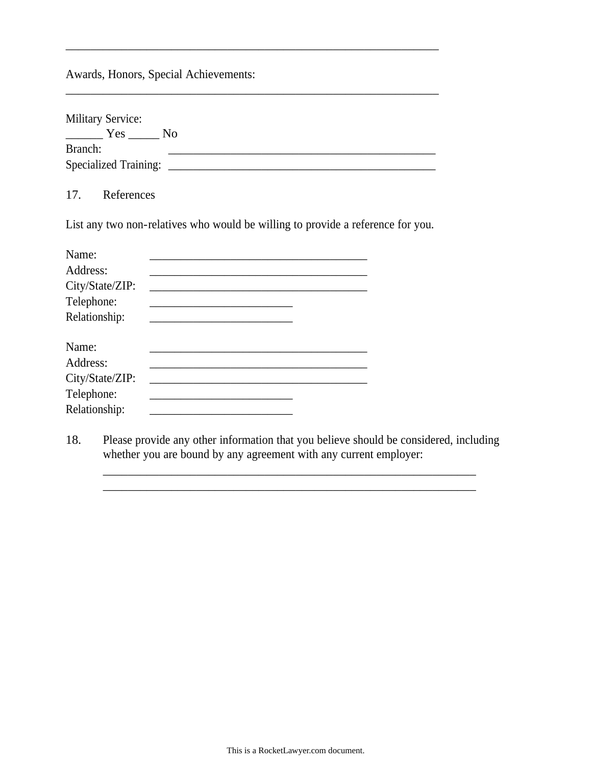Awards, Honors, Special Achievements:

| <b>Military Service:</b>     |     |
|------------------------------|-----|
| Yes                          | No. |
| Branch:                      |     |
| <b>Specialized Training:</b> |     |

\_\_\_\_\_\_\_\_\_\_\_\_\_\_\_\_\_\_\_\_\_\_\_\_\_\_\_\_\_\_\_\_\_\_\_\_\_\_\_\_\_\_\_\_\_\_\_\_\_\_\_\_\_\_\_\_\_\_\_\_

\_\_\_\_\_\_\_\_\_\_\_\_\_\_\_\_\_\_\_\_\_\_\_\_\_\_\_\_\_\_\_\_\_\_\_\_\_\_\_\_\_\_\_\_\_\_\_\_\_\_\_\_\_\_\_\_\_\_\_\_

17. References

List any two non-relatives who would be willing to provide a reference for you.

| Name:           |  |  |
|-----------------|--|--|
| Address:        |  |  |
| City/State/ZIP: |  |  |
| Telephone:      |  |  |
| Relationship:   |  |  |
| Name:           |  |  |
| Address:        |  |  |
| City/State/ZIP: |  |  |
| Telephone:      |  |  |
| Relationship:   |  |  |

18. Please provide any other information that you believe should be considered, including whether you are bound by any agreement with any current employer:

\_\_\_\_\_\_\_\_\_\_\_\_\_\_\_\_\_\_\_\_\_\_\_\_\_\_\_\_\_\_\_\_\_\_\_\_\_\_\_\_\_\_\_\_\_\_\_\_\_\_\_\_\_\_\_\_\_\_\_\_ \_\_\_\_\_\_\_\_\_\_\_\_\_\_\_\_\_\_\_\_\_\_\_\_\_\_\_\_\_\_\_\_\_\_\_\_\_\_\_\_\_\_\_\_\_\_\_\_\_\_\_\_\_\_\_\_\_\_\_\_